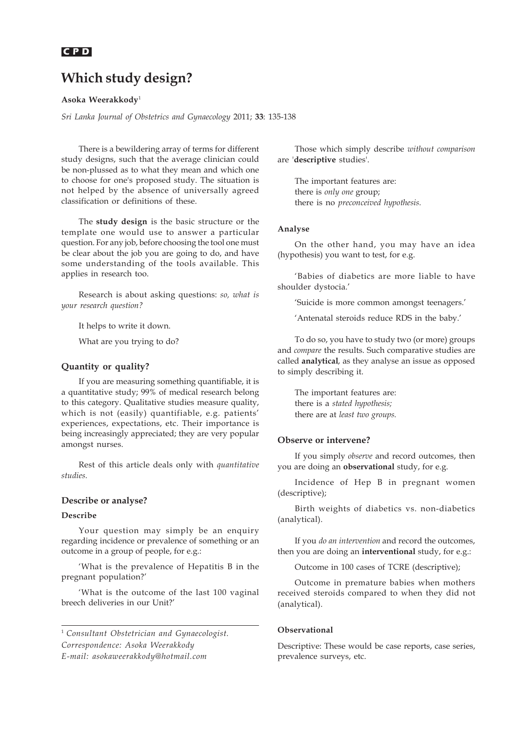# **Which study design?**

**Asoka Weerakkody**<sup>1</sup>

*Sri Lanka Journal of Obstetrics and Gynaecology* 2011; **33**: 135-138

There is a bewildering array of terms for different study designs, such that the average clinician could be non-plussed as to what they mean and which one to choose for one's proposed study. The situation is not helped by the absence of universally agreed classification or definitions of these.

The **study design** is the basic structure or the template one would use to answer a particular question. For any job, before choosing the tool one must be clear about the job you are going to do, and have some understanding of the tools available. This applies in research too.

Research is about asking questions: *so, what is your research question?*

It helps to write it down.

What are you trying to do?

#### **Quantity or quality?**

If you are measuring something quantifiable, it is a quantitative study; 99% of medical research belong to this category. Qualitative studies measure quality, which is not (easily) quantifiable, e.g. patients' experiences, expectations, etc. Their importance is being increasingly appreciated; they are very popular amongst nurses.

Rest of this article deals only with *quantitative studies.*

## **Describe or analyse?**

#### **Describe**

Your question may simply be an enquiry regarding incidence or prevalence of something or an outcome in a group of people, for e.g.:

'What is the prevalence of Hepatitis B in the pregnant population?'

'What is the outcome of the last 100 vaginal breech deliveries in our Unit?'

<sup>1</sup> *Consultant Obstetrician and Gynaecologist. Correspondence: Asoka Weerakkody E-mail: asokaweerakkody@hotmail.com*

Those which simply describe *without comparison* are '**descriptive** studies'.

The important features are: there is *only one* group; there is no *preconceived hypothesis.*

#### **Analyse**

On the other hand, you may have an idea (hypothesis) you want to test, for e.g.

'Babies of diabetics are more liable to have shoulder dystocia.'

'Suicide is more common amongst teenagers.'

'Antenatal steroids reduce RDS in the baby.'

To do so, you have to study two (or more) groups and *compare* the results. Such comparative studies are called **analytical**, as they analyse an issue as opposed to simply describing it.

The important features are: there is a *stated hypothesis;* there are at *least two groups.*

#### **Observe or intervene?**

If you simply *observe* and record outcomes, then you are doing an **observational** study, for e.g.

Incidence of Hep B in pregnant women (descriptive);

Birth weights of diabetics vs. non-diabetics (analytical).

If you *do an intervention* and record the outcomes, then you are doing an **interventional** study, for e.g.:

Outcome in 100 cases of TCRE (descriptive);

Outcome in premature babies when mothers received steroids compared to when they did not (analytical).

#### **Observational**

Descriptive: These would be case reports, case series, prevalence surveys, etc.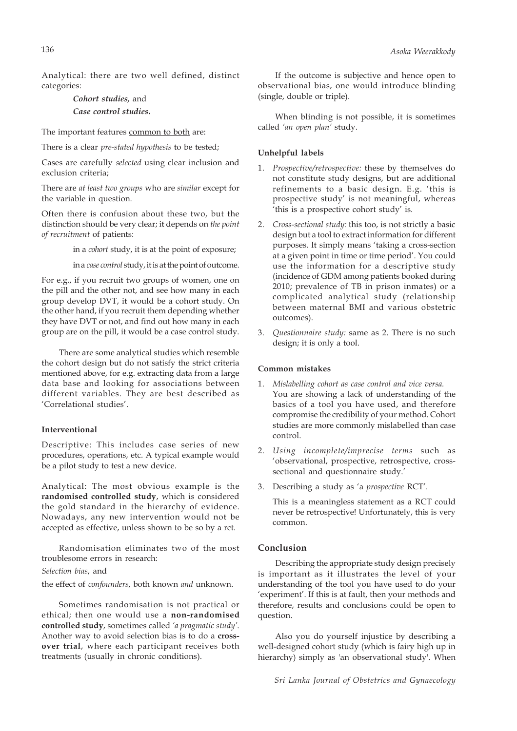Analytical: there are two well defined, distinct categories:

# *Cohort studies,* and *Case control studies***.**

The important features common to both are:

There is a clear *pre-stated hypothesis* to be tested;

Cases are carefully *selected* using clear inclusion and exclusion criteria;

There are *at least two groups* who are *similar* except for the variable in question.

Often there is confusion about these two, but the distinction should be very clear; it depends on *the point of recruitment* of patients:

in a *cohort* study, it is at the point of exposure;

in a *case control* study, it is at the point of outcome.

For e.g., if you recruit two groups of women, one on the pill and the other not, and see how many in each group develop DVT, it would be a cohort study. On the other hand, if you recruit them depending whether they have DVT or not, and find out how many in each group are on the pill, it would be a case control study.

There are some analytical studies which resemble the cohort design but do not satisfy the strict criteria mentioned above, for e.g. extracting data from a large data base and looking for associations between different variables. They are best described as 'Correlational studies'.

#### **Interventional**

Descriptive: This includes case series of new procedures, operations, etc. A typical example would be a pilot study to test a new device.

Analytical: The most obvious example is the **randomised controlled study**, which is considered the gold standard in the hierarchy of evidence. Nowadays, any new intervention would not be accepted as effective, unless shown to be so by a rct.

Randomisation eliminates two of the most troublesome errors in research:

#### *Selection bias*, and

the effect of *confounders*, both known *and* unknown.

Sometimes randomisation is not practical or ethical; then one would use a **non-randomised controlled study**, sometimes called *'a pragmatic study'*. Another way to avoid selection bias is to do a **crossover trial**, where each participant receives both treatments (usually in chronic conditions).

If the outcome is subjective and hence open to observational bias, one would introduce blinding (single, double or triple).

When blinding is not possible, it is sometimes called *'an open plan'* study.

#### **Unhelpful labels**

- 1. *Prospective/retrospective:* these by themselves do not constitute study designs, but are additional refinements to a basic design. E.g. 'this is prospective study' is not meaningful, whereas 'this is a prospective cohort study' is.
- 2. *Cross-sectional study:* this too, is not strictly a basic design but a tool to extract information for different purposes. It simply means 'taking a cross-section at a given point in time or time period'. You could use the information for a descriptive study (incidence of GDM among patients booked during 2010; prevalence of TB in prison inmates) or a complicated analytical study (relationship between maternal BMI and various obstetric outcomes).
- 3. *Questionnaire study:* same as 2. There is no such design; it is only a tool.

### **Common mistakes**

- 1. *Mislabelling cohort as case control and vice versa.* You are showing a lack of understanding of the basics of a tool you have used, and therefore compromise the credibility of your method. Cohort studies are more commonly mislabelled than case control.
- 2. *Using incomplete/imprecise terms* such as 'observational, prospective, retrospective, crosssectional and questionnaire study.'
- 3. Describing a study as 'a *prospective* RCT'.

This is a meaningless statement as a RCT could never be retrospective! Unfortunately, this is very common.

#### **Conclusion**

Describing the appropriate study design precisely is important as it illustrates the level of your understanding of the tool you have used to do your 'experiment'. If this is at fault, then your methods and therefore, results and conclusions could be open to question.

Also you do yourself injustice by describing a well-designed cohort study (which is fairy high up in hierarchy) simply as 'an observational study'. When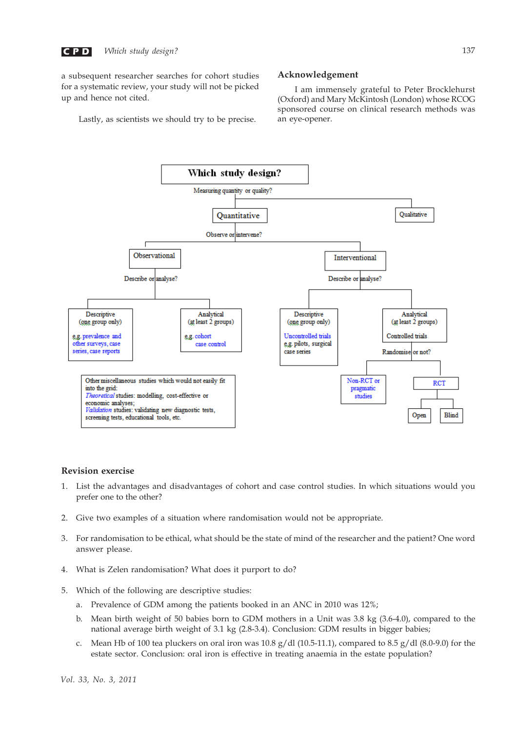$$
\begin{array}{c} \mathbf{CP} \mathbf{D} \end{array}
$$

a subsequent researcher searches for cohort studies for a systematic review, your study will not be picked up and hence not cited.

Lastly, as scientists we should try to be precise.

#### **Acknowledgement**

I am immensely grateful to Peter Brocklehurst (Oxford) and Mary McKintosh (London) whose RCOG sponsored course on clinical research methods was an eye-opener.



# **Revision exercise**

- 1. List the advantages and disadvantages of cohort and case control studies. In which situations would you prefer one to the other?
- 2. Give two examples of a situation where randomisation would not be appropriate.
- 3. For randomisation to be ethical, what should be the state of mind of the researcher and the patient? One word answer please.
- 4. What is Zelen randomisation? What does it purport to do?
- 5. Which of the following are descriptive studies:
	- a. Prevalence of GDM among the patients booked in an ANC in 2010 was 12%;
	- b. Mean birth weight of 50 babies born to GDM mothers in a Unit was 3.8 kg (3.6-4.0), compared to the national average birth weight of 3.1 kg (2.8-3.4). Conclusion: GDM results in bigger babies;
	- c. Mean Hb of 100 tea pluckers on oral iron was  $10.8 g/dl$  (10.5-11.1), compared to 8.5  $g/dl$  (8.0-9.0) for the estate sector. Conclusion: oral iron is effective in treating anaemia in the estate population?